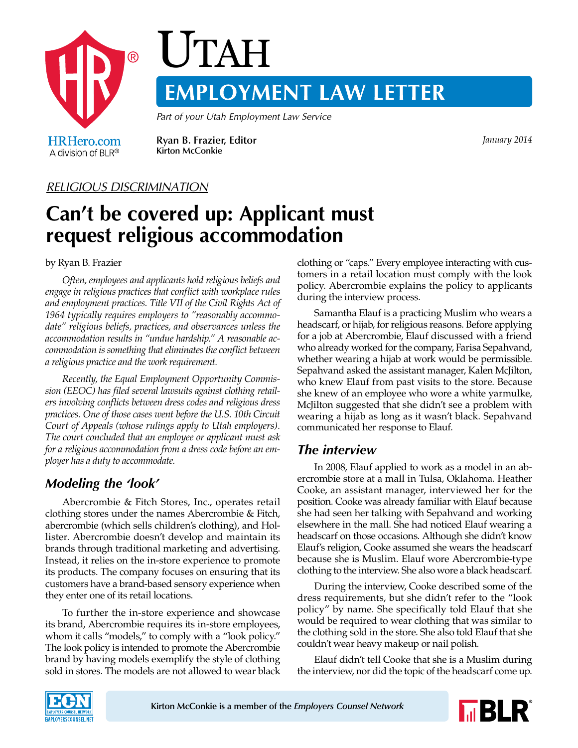

#### *RELIGIOUS DISCRIMINATION*

# **Can't be covered up: Applicant must request religious accommodation**

by Ryan B. Frazier

*Often, employees and applicants hold religious beliefs and engage in religious practices that conflict with workplace rules and employment practices. Title VII of the Civil Rights Act of 1964 typically requires employers to "reasonably accommodate" religious beliefs, practices, and observances unless the accommodation results in "undue hardship." A reasonable accommodation is something that eliminates the conflict between a religious practice and the work requirement.*

*Recently, the Equal Employment Opportunity Commission (EEOC) has filed several lawsuits against clothing retailers involving conflicts between dress codes and religious dress practices. One of those cases went before the U.S. 10th Circuit Court of Appeals (whose rulings apply to Utah employers). The court concluded that an employee or applicant must ask for a religious accommodation from a dress code before an employer has a duty to accommodate.*

## *Modeling the 'look'*

Abercrombie & Fitch Stores, Inc., operates retail clothing stores under the names Abercrombie & Fitch, abercrombie (which sells children's clothing), and Hollister. Abercrombie doesn't develop and maintain its brands through traditional marketing and advertising. Instead, it relies on the in-store experience to promote its products. The company focuses on ensuring that its customers have a brand-based sensory experience when they enter one of its retail locations.

To further the in-store experience and showcase its brand, Abercrombie requires its in-store employees, whom it calls "models," to comply with a "look policy." The look policy is intended to promote the Abercrombie brand by having models exemplify the style of clothing sold in stores. The models are not allowed to wear black clothing or "caps." Every employee interacting with customers in a retail location must comply with the look policy. Abercrombie explains the policy to applicants during the interview process.

Samantha Elauf is a practicing Muslim who wears a headscarf, or hijab, for religious reasons. Before applying for a job at Abercrombie, Elauf discussed with a friend who already worked for the company, Farisa Sepahvand, whether wearing a hijab at work would be permissible. Sepahvand asked the assistant manager, Kalen McJilton, who knew Elauf from past visits to the store. Because she knew of an employee who wore a white yarmulke, McJilton suggested that she didn't see a problem with wearing a hijab as long as it wasn't black. Sepahvand communicated her response to Elauf.

#### *The interview*

In 2008, Elauf applied to work as a model in an abercrombie store at a mall in Tulsa, Oklahoma. Heather Cooke, an assistant manager, interviewed her for the position. Cooke was already familiar with Elauf because she had seen her talking with Sepahvand and working elsewhere in the mall. She had noticed Elauf wearing a headscarf on those occasions. Although she didn't know Elauf's religion, Cooke assumed she wears the headscarf because she is Muslim. Elauf wore Abercrombie-type clothing to the interview. She also wore a black headscarf.

During the interview, Cooke described some of the dress requirements, but she didn't refer to the "look policy" by name. She specifically told Elauf that she would be required to wear clothing that was similar to the clothing sold in the store. She also told Elauf that she couldn't wear heavy makeup or nail polish.

Elauf didn't tell Cooke that she is a Muslim during the interview, nor did the topic of the headscarf come up.



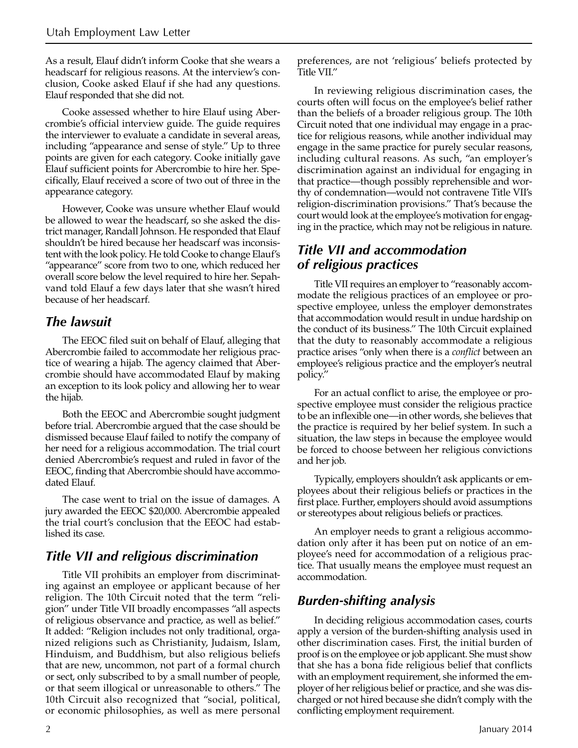As a result, Elauf didn't inform Cooke that she wears a headscarf for religious reasons. At the interview's conclusion, Cooke asked Elauf if she had any questions. Elauf responded that she did not.

Cooke assessed whether to hire Elauf using Abercrombie's official interview guide. The guide requires the interviewer to evaluate a candidate in several areas, including "appearance and sense of style." Up to three points are given for each category. Cooke initially gave Elauf sufficient points for Abercrombie to hire her. Specifically, Elauf received a score of two out of three in the appearance category.

However, Cooke was unsure whether Elauf would be allowed to wear the headscarf, so she asked the district manager, Randall Johnson. He responded that Elauf shouldn't be hired because her headscarf was inconsistent with the look policy. He told Cooke to change Elauf's "appearance" score from two to one, which reduced her overall score below the level required to hire her. Sepahvand told Elauf a few days later that she wasn't hired because of her headscarf.

### *The lawsuit*

The EEOC filed suit on behalf of Elauf, alleging that Abercrombie failed to accommodate her religious practice of wearing a hijab. The agency claimed that Abercrombie should have accommodated Elauf by making an exception to its look policy and allowing her to wear the hijab.

Both the EEOC and Abercrombie sought judgment before trial. Abercrombie argued that the case should be dismissed because Elauf failed to notify the company of her need for a religious accommodation. The trial court denied Abercrombie's request and ruled in favor of the EEOC, finding that Abercrombie should have accommodated Elauf.

The case went to trial on the issue of damages. A jury awarded the EEOC \$20,000. Abercrombie appealed the trial court's conclusion that the EEOC had established its case.

## *Title VII and religious discrimination*

Title VII prohibits an employer from discriminating against an employee or applicant because of her religion. The 10th Circuit noted that the term "religion" under Title VII broadly encompasses "all aspects of religious observance and practice, as well as belief." It added: "Religion includes not only traditional, organized religions such as Christianity, Judaism, Islam, Hinduism, and Buddhism, but also religious beliefs that are new, uncommon, not part of a formal church or sect, only subscribed to by a small number of people, or that seem illogical or unreasonable to others." The 10th Circuit also recognized that "social, political, or economic philosophies, as well as mere personal preferences, are not 'religious' beliefs protected by Title VII."

In reviewing religious discrimination cases, the courts often will focus on the employee's belief rather than the beliefs of a broader religious group. The 10th Circuit noted that one individual may engage in a practice for religious reasons, while another individual may engage in the same practice for purely secular reasons, including cultural reasons. As such, "an employer's discrimination against an individual for engaging in that practice—though possibly reprehensible and worthy of condemnation—would not contravene Title VII's religion-discrimination provisions." That's because the court would look at the employee's motivation for engaging in the practice, which may not be religious in nature.

### *Title VII and accommodation of religious practices*

Title VII requires an employer to "reasonably accommodate the religious practices of an employee or prospective employee, unless the employer demonstrates that accommodation would result in undue hardship on the conduct of its business." The 10th Circuit explained that the duty to reasonably accommodate a religious practice arises "only when there is a *conflict* between an employee's religious practice and the employer's neutral policy."

For an actual conflict to arise, the employee or prospective employee must consider the religious practice to be an inflexible one—in other words, she believes that the practice is required by her belief system. In such a situation, the law steps in because the employee would be forced to choose between her religious convictions and her job.

Typically, employers shouldn't ask applicants or employees about their religious beliefs or practices in the first place. Further, employers should avoid assumptions or stereotypes about religious beliefs or practices.

An employer needs to grant a religious accommodation only after it has been put on notice of an employee's need for accommodation of a religious practice. That usually means the employee must request an accommodation.

## *Burden-shifting analysis*

In deciding religious accommodation cases, courts apply a version of the burden-shifting analysis used in other discrimination cases. First, the initial burden of proof is on the employee or job applicant. She must show that she has a bona fide religious belief that conflicts with an employment requirement, she informed the employer of her religious belief or practice, and she was discharged or not hired because she didn't comply with the conflicting employment requirement.